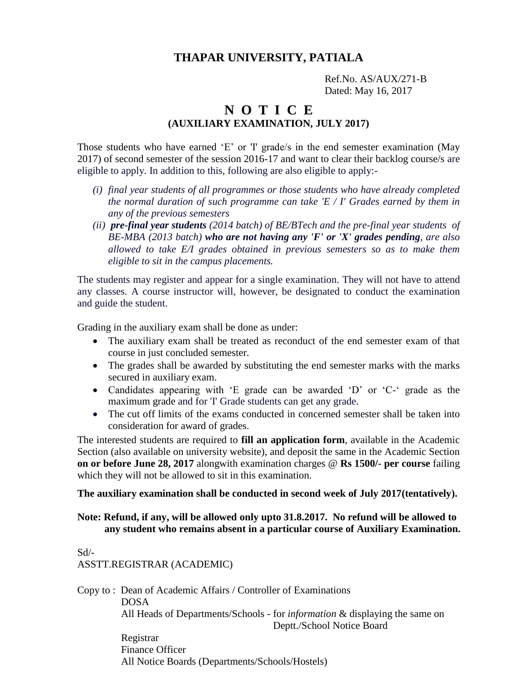### **THAPAR UNIVERSITY, PATIALA**

 Ref.No. AS/AUX/271-B Dated: May 16, 2017

## **N O T I C E (AUXILIARY EXAMINATION, JULY 2017)**

Those students who have earned 'E' or 'I' grade/s in the end semester examination (May 2017) of second semester of the session 2016-17 and want to clear their backlog course/s are eligible to apply. In addition to this, following are also eligible to apply:-

- *(i) final year students of all programmes or those students who have already completed the normal duration of such programme can take 'E / I' Grades earned by them in any of the previous semesters*
- *(ii) pre-final year students (2014 batch) of BE/BTech and the pre-final year students of BE-MBA (2013 batch) who are not having any 'F' or 'X' grades pending, are also allowed to take E/I grades obtained in previous semesters so as to make them eligible to sit in the campus placements.*

The students may register and appear for a single examination. They will not have to attend any classes. A course instructor will, however, be designated to conduct the examination and guide the student.

Grading in the auxiliary exam shall be done as under:

- The auxiliary exam shall be treated as reconduct of the end semester exam of that course in just concluded semester.
- The grades shall be awarded by substituting the end semester marks with the marks secured in auxiliary exam.
- Candidates appearing with 'E grade can be awarded 'D' or 'C-' grade as the maximum grade and for 'I' Grade students can get any grade.
- The cut off limits of the exams conducted in concerned semester shall be taken into consideration for award of grades.

The interested students are required to **fill an application form**, available in the Academic Section (also available on university website), and deposit the same in the Academic Section **on or before June 28, 2017** alongwith examination charges @ **Rs 1500/- per course** failing which they will not be allowed to sit in this examination.

#### **The auxiliary examination shall be conducted in second week of July 2017(tentatively).**

#### **Note: Refund, if any, will be allowed only upto 31.8.2017. No refund will be allowed to any student who remains absent in a particular course of Auxiliary Examination.**

Sd/- ASSTT.REGISTRAR (ACADEMIC)

Copy to : Dean of Academic Affairs / Controller of Examinations DOSA All Heads of Departments/Schools - for *information* & displaying the same on Deptt./School Notice Board Registrar Finance Officer

All Notice Boards (Departments/Schools/Hostels)